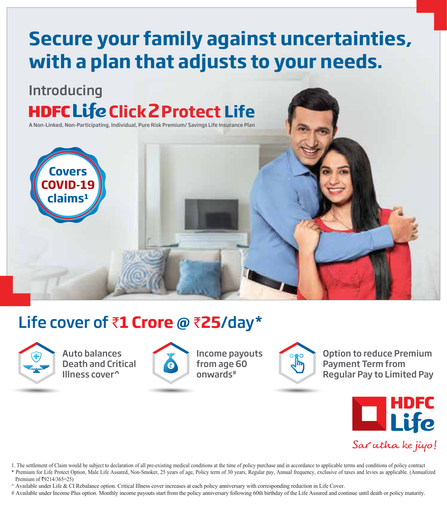# **Secure your family against uncertainties, with a plan that adjusts to your needs.**

## Introducing **HDFCLife Click 2 Protect Life**

A Non-Linked, Non-Participating, Individual, Pure Risk Premium/ Savings Life Insurance Plan



## Life cover of ₹1 Crore @ ₹25/day\*



Auto balances Death and Critical Illness cover^



Income payouts from age 60 onwards#



Option to reduce Premium Payment Term from Regular Pay to Limited Pay



1. The settlement of Claim would be subject to declaration of all pre-existing medical conditions at the time of policy purchase and in accordance to applicable terms and conditions of policy contract

\* Premium for Life Protect Option, Male Life Assured, Non-Smoker, 25 years of age, Policy term of 30 years, Regular pay, Annual frequency, exclusive of taxes and levies as applicable. (Annualized Premium of  $\text{\textsterling}9214/365=25$ )

^ Available under Life & CI Rebalance option. Critical Illness cover increases at each policy anniversary with corresponding reduction in Life Cover.

# Available under Income Plus option. Monthly income payouts start from the policy anniversary following 60th birthday of the Life Assured and continue until death or policy maturity.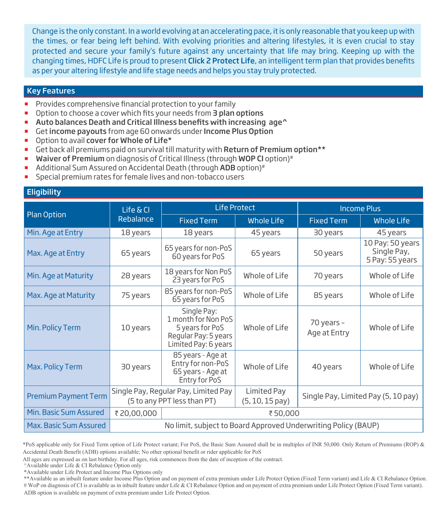Change is the only constant. In a world evolving at an accelerating pace, it is only reasonable that you keep up with the times, or fear being left behind. With evolving priorities and altering lifestyles, it is even crucial to stay protected and secure your family's future against any uncertainty that life may bring. Keeping up with the changing times, HDFC Life is proud to present Click 2 Protect Life, an intelligent term plan that provides benefits as per your altering lifestyle and life stage needs and helps you stay truly protected.

#### Key Features

- Provides comprehensive financial protection to your family
- Option to choose a cover which fits your needs from 3 plan options
- Auto balances Death and Critical Illness benefits with increasing age<sup>^</sup>
- Get income payouts from age 60 onwards under Income Plus Option
- Option to avail cover for Whole of Life\*
- Get back all premiums paid on survival till maturity with Return of Premium option\*\*
- Waiver of Premium on diagnosis of Critical Illness (through WOP CI option)<sup>#</sup>
- Additional Sum Assured on Accidental Death (through ADB option)#
- Special premium rates for female lives and non-tobacco users

#### **Eligibility**

|                             | Life & Cl                                                      | <b>Life Protect</b>                                                                                   |                                     | <b>Income Plus</b>                  |                                                    |
|-----------------------------|----------------------------------------------------------------|-------------------------------------------------------------------------------------------------------|-------------------------------------|-------------------------------------|----------------------------------------------------|
| <b>Plan Option</b>          | Rebalance                                                      | <b>Fixed Term</b>                                                                                     | <b>Whole Life</b>                   | <b>Fixed Term</b>                   | Whole Life                                         |
| Min. Age at Entry           | 18 years                                                       | 18 years                                                                                              | 45 years                            | 30 years                            | 45 years                                           |
| Max. Age at Entry           | 65 years                                                       | 65 years for non-PoS<br>60 years for PoS                                                              | 65 years                            | 50 years                            | 10 Pay: 50 years<br>Single Pay,<br>5 Pay: 55 years |
| Min. Age at Maturity        | 28 years                                                       | 18 years for Non PoS<br>23 years for PoS                                                              | Whole of Life                       | 70 years                            | Whole of Life                                      |
| Max. Age at Maturity        | 75 years                                                       | 85 years for non-PoS<br>65 years for PoS                                                              | Whole of Life                       | 85 years                            | Whole of Life                                      |
| Min. Policy Term            | 10 years                                                       | Single Pay:<br>1 month for Non PoS<br>5 years for PoS<br>Regular Pay: 5 years<br>Limited Pay: 6 years | Whole of Life                       | 70 years -<br>Age at Entry          | Whole of Life                                      |
| Max. Policy Term            | 30 years                                                       | 85 years - Age at<br>Entry for non-PoS<br>65 years - Age at<br>Entry for PoS                          | Whole of Life                       | 40 years                            | Whole of Life                                      |
| <b>Premium Payment Term</b> |                                                                | Single Pay, Regular Pay, Limited Pay<br>(5 to any PPT less than PT)                                   | Limited Pay<br>$(5, 10, 15$ pay $)$ | Single Pay, Limited Pay (5, 10 pay) |                                                    |
| Min. Basic Sum Assured      | ₹20,00,000                                                     | ₹50,000                                                                                               |                                     |                                     |                                                    |
| Max. Basic Sum Assured      | No limit, subject to Board Approved Underwriting Policy (BAUP) |                                                                                                       |                                     |                                     |                                                    |

\*PoS applicable only for Fixed Term option of Life Protect variant; For PoS, the Basic Sum Assured shall be in multiples of INR 50,000. Only Return of Premiums (ROP) & Accidental Death Benefit (ADB) options available; No other optional benefit or rider applicable for PoS

- ^Available under Life & CI Rebalance Option only
- \*Available under Life Protect and Income Plus Options only

\*\*Available as an inbuilt feature under Income Plus Option and on payment of extra premium under Life Protect Option (Fixed Term variant) and Life & CI Rebalance Option. # WoP on diagnosis of CI is available as in inbuilt feature under Life & CI Rebalance Option and on payment of extra premium under Life Protect Option (Fixed Term variant). ADB option is available on payment of extra premium under Life Protect Option.

All ages are expressed as on last birthday. For all ages, risk commences from the date of inception of the contract.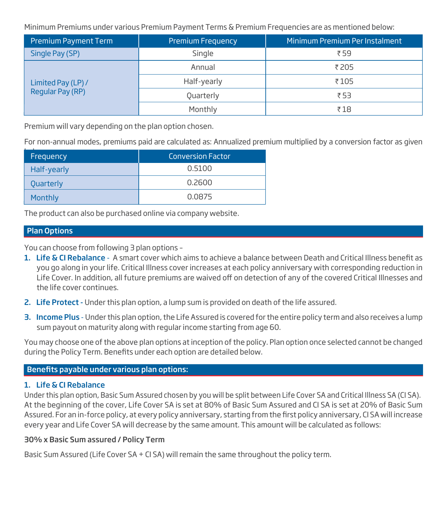Minimum Premiums under various Premium Payment Terms & Premium Frequencies are as mentioned below:

| Premium Payment Term | Premium Frequency | Minimum Premium Per Instalment |  |
|----------------------|-------------------|--------------------------------|--|
| Single Pay (SP)      | Single            | ₹ 59                           |  |
|                      | Annual            | ₹ 205                          |  |
| Limited Pay (LP) /   | Half-yearly       | ₹105                           |  |
| Regular Pay (RP)     | Quarterly         | ₹53                            |  |
|                      | Monthly           | ₹18                            |  |

Premium will vary depending on the plan option chosen.

For non-annual modes, premiums paid are calculated as: Annualized premium multiplied by a conversion factor as given

| Frequency        | <b>Conversion Factor</b> |
|------------------|--------------------------|
| Half-yearly      | 0.5100                   |
| <b>Quarterly</b> | 0.2600                   |
| Monthly          | 0.0875                   |

The product can also be purchased online via company website.

#### Plan Options

You can choose from following 3 plan options –

- 1. Life & CI Rebalance A smart cover which aims to achieve a balance between Death and Critical Illness benefit as you go along in your life. Critical Illness cover increases at each policy anniversary with corresponding reduction in Life Cover. In addition, all future premiums are waived off on detection of any of the covered Critical Illnesses and the life cover continues.
- 2. Life Protect Under this plan option, a lump sum is provided on death of the life assured.
- 3. Income Plus Under this plan option, the Life Assured is covered for the entire policy term and also receives a lump sum payout on maturity along with regular income starting from age 60.

You may choose one of the above plan options at inception of the policy. Plan option once selected cannot be changed during the Policy Term. Benefits under each option are detailed below.

#### Benefits payable under various plan options:

#### 1. Life & CI Rebalance

Under this plan option, Basic Sum Assured chosen by you will be split between Life Cover SA and Critical Illness SA (CI SA). At the beginning of the cover, Life Cover SA is set at 80% of Basic Sum Assured and CI SA is set at 20% of Basic Sum Assured. For an in-force policy, at every policy anniversary, starting from the first policy anniversary, CI SA will increase every year and Life Cover SA will decrease by the same amount. This amount will be calculated as follows:

#### 30% x Basic Sum assured / Policy Term

Basic Sum Assured (Life Cover SA + CI SA) will remain the same throughout the policy term.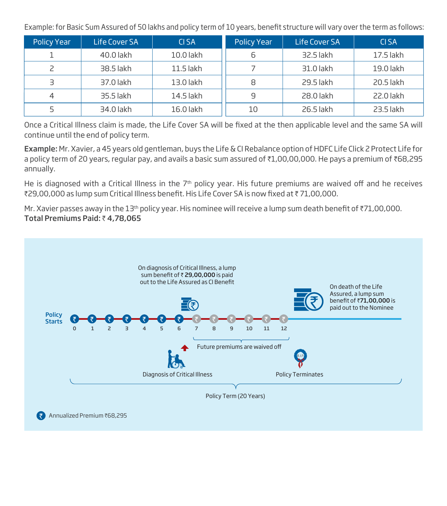Example: for Basic Sum Assured of 50 lakhs and policy term of 10 years, benefit structure will vary over the term as follows:

| Policy Year | Life Cover SA | CI SA       | <b>Policy Year</b> | Life Cover SA | CI SA     |
|-------------|---------------|-------------|--------------------|---------------|-----------|
|             | 40.0 lakh     | 10.0 lakh   |                    | 32.5 lakh     | 17.5 lakh |
|             | 38.5 lakh     | $11.5$ lakh |                    | 31.0 lakh     | 19.0 lakh |
|             | 37.0 lakh     | 13.0 lakh   | 8                  | 29.5 lakh     | 20.5 lakh |
|             | 35.5 lakh     | 14.5 lakh   | 9                  | 28.0 lakh     | 22.0 lakh |
|             | 34.0 lakh     | 16.0 lakh   | 10                 | 26.5 lakh     | 23.5 lakh |

Once a Critical Illness claim is made, the Life Cover SA will be fixed at the then applicable level and the same SA will continue until the end of policy term.

Example: Mr. Xavier, a 45 years old gentleman, buys the Life & CI Rebalance option of HDFC Life Click 2 Protect Life for a policy term of 20 years, regular pay, and avails a basic sum assured of  $*1,00,00,000$ . He pays a premium of  $*68,295$ annually.

He is diagnosed with a Critical Illness in the 7<sup>th</sup> policy year. His future premiums are waived off and he receives ₹29,00,000 as lump sum Critical Illness benefit. His Life Cover SA is now fixed at ₹71,00,000.

Mr. Xavier passes away in the 13<sup>th</sup> policy year. His nominee will receive a lump sum death benefit of  $\bar{\tau}$ 71,00,000. Total Premiums Paid: ₹4,78,065

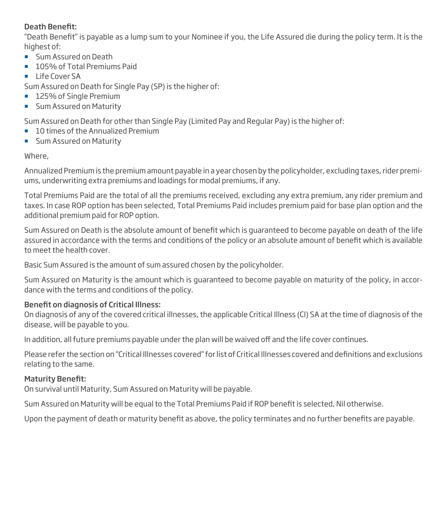#### Death Benefit:

"Death Benefit" is payable as a lump sum to your Nominee if you, the Life Assured die during the policy term. It is the highest of:

- **Sum Assured on Death**
- 105% of Total Premiums Paid
- $\blacksquare$  Life Cover SA

Sum Assured on Death for Single Pay (SP) is the higher of:

- 125% of Single Premium
- **Sum Assured on Maturity**

Sum Assured on Death for other than Single Pay (Limited Pay and Regular Pay) is the higher of:

- 10 times of the Annualized Premium
- **Sum Assured on Maturity**

#### Where,

Annualized Premium is the premium amount payable in a year chosen by the policyholder, excluding taxes, rider premiums, underwriting extra premiums and loadings for modal premiums, if any.

Total Premiums Paid are the total of all the premiums received, excluding any extra premium, any rider premium and taxes. In case ROP option has been selected, Total Premiums Paid includes premium paid for base plan option and the additional premium paid for ROP option.

Sum Assured on Death is the absolute amount of benefit which is quaranteed to become payable on death of the life assured in accordance with the terms and conditions of the policy or an absolute amount of benefit which is available to meet the health cover.

Basic Sum Assured is the amount of sum assured chosen by the policyholder.

Sum Assured on Maturity is the amount which is guaranteed to become payable on maturity of the policy, in accordance with the terms and conditions of the policy.

## Benefit on diagnosis of Critical Illness:

On diagnosis of any of the covered critical illnesses, the applicable Critical Illness (CI) SA at the time of diagnosis of the disease, will be payable to you.

In addition, all future premiums payable under the plan will be waived off and the life cover continues.

Please refer the section on "Critical Illnesses covered" for list of Critical Illnesses covered and denitions and exclusions relating to the same.

#### **Maturity Benefit:**

On survival until Maturity, Sum Assured on Maturity will be payable.

Sum Assured on Maturity will be equal to the Total Premiums Paid if ROP benefit is selected, Nil otherwise.

Upon the payment of death or maturity benefit as above, the policy terminates and no further benefits are payable.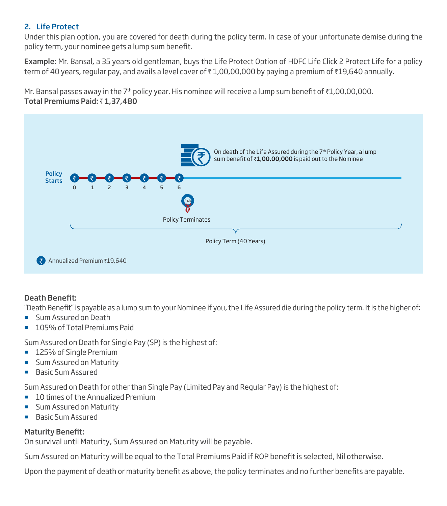#### 2. Life Protect

Under this plan option, you are covered for death during the policy term. In case of your unfortunate demise during the policy term, your nominee gets a lump sum benefit.

Example: Mr. Bansal, a 35 years old gentleman, buys the Life Protect Option of HDFC Life Click 2 Protect Life for a policy term of 40 years, regular pay, and avails a level cover of  $\bar{\tau}$  1,00,00,000 by paying a premium of  $\bar{\tau}$ 19,640 annually.

Mr. Bansal passes away in the 7<sup>th</sup> policy year. His nominee will receive a lump sum benefit of  $\bar{\tau}1$ ,00,00,000. Total Premiums Paid:  $\bar{z}$  1,37,480



#### Death Benefit:

"Death Benefit" is payable as a lump sum to your Nominee if you, the Life Assured die during the policy term. It is the higher of:

- **Sum Assured on Death**
- 105% of Total Premiums Paid

Sum Assured on Death for Single Pay (SP) is the highest of:

- 125% of Single Premium
- **Sum Assured on Maturity**
- **Basic Sum Assured**

Sum Assured on Death for other than Single Pay (Limited Pay and Regular Pay) is the highest of:

- 10 times of the Annualized Premium
- **Sum Assured on Maturity**
- **Basic Sum Assured**

#### **Maturity Benefit:**

On survival until Maturity, Sum Assured on Maturity will be payable.

Sum Assured on Maturity will be equal to the Total Premiums Paid if ROP benefit is selected, Nil otherwise.

Upon the payment of death or maturity benefit as above, the policy terminates and no further benefits are payable.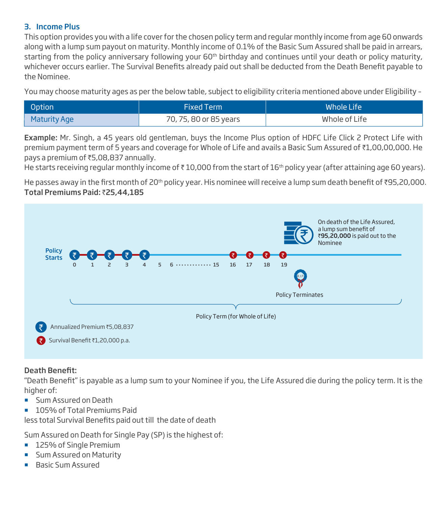#### 3. Income Plus

This option provides you with a life cover for the chosen policy term and regular monthly income from age 60 onwards along with a lump sum payout on maturity. Monthly income of 0.1% of the Basic Sum Assured shall be paid in arrears, starting from the policy anniversary following your 60<sup>th</sup> birthday and continues until your death or policy maturity, whichever occurs earlier. The Survival Benefits already paid out shall be deducted from the Death Benefit payable to the Nominee.

You may choose maturity ages as per the below table, subject to eligibility criteria mentioned above under Eligibility –

| Option       | <b>Fixed Term</b>      | Whole Life    |
|--------------|------------------------|---------------|
| Maturity Age | 70, 75, 80 or 85 years | Whole of Life |

Example: Mr. Singh, a 45 years old gentleman, buys the Income Plus option of HDFC Life Click 2 Protect Life with premium payment term of 5 years and coverage for Whole of Life and avails a Basic Sum Assured of ₹1,00,00,000. He pays a premium of ₹5,08,837 annually.

He starts receiving regular monthly income of  $\bar{\tau}$  10,000 from the start of 16<sup>th</sup> policy year (after attaining age 60 years).

He passes away in the first month of 20<sup>th</sup> policy year. His nominee will receive a lump sum death benefit of ₹95,20,000. Total Premiums Paid: ₹25,44,185



#### Death Benefit:

"Death Benefit" is payable as a lump sum to your Nominee if you, the Life Assured die during the policy term. It is the higher of:

- **Sum Assured on Death**
- 105% of Total Premiums Paid

less total Survival Benefits paid out till the date of death

Sum Assured on Death for Single Pay (SP) is the highest of:

- 125% of Single Premium
- **Sum Assured on Maturity**
- **Basic Sum Assured**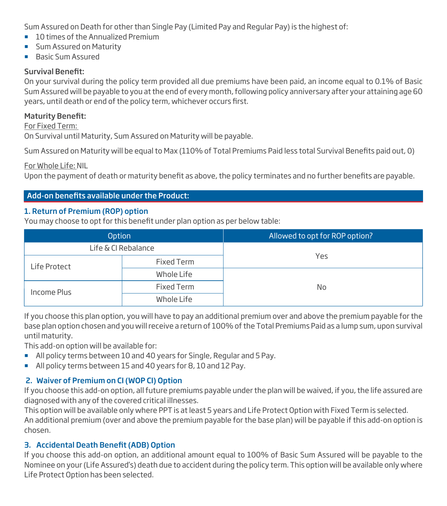Sum Assured on Death for other than Single Pay (Limited Pay and Regular Pay) is the highest of:

- 10 times of the Annualized Premium
- **Sum Assured on Maturity**
- **Basic Sum Assured**

#### Survival Benefit:

On your survival during the policy term provided all due premiums have been paid, an income equal to 0.1% of Basic Sum Assured will be payable to you at the end of every month, following policy anniversary after your attaining age 60 years, until death or end of the policy term, whichever occurs first.

#### Maturity Benefit:

For Fixed Term:

On Survival until Maturity, Sum Assured on Maturity will be payable.

Sum Assured on Maturity will be equal to Max (110% of Total Premiums Paid less total Survival Benefits paid out, 0)

For Whole Life: NIL

Upon the payment of death or maturity benefit as above, the policy terminates and no further benefits are payable.

#### Add-on benefits available under the Product:

#### 1. Return of Premium (ROP) option

You may choose to opt for this benefit under plan option as per below table:

| Option              |            | Allowed to opt for ROP option? |
|---------------------|------------|--------------------------------|
| Life & CI Rebalance |            |                                |
| Life Protect        | Fixed Term | Yes                            |
|                     | Whole Life |                                |
| Income Plus         | Fixed Term | No.                            |
|                     | Whole Life |                                |

If you choose this plan option, you will have to pay an additional premium over and above the premium payable for the base plan option chosen and you will receive a return of 100% of the Total Premiums Paid as a lump sum, upon survival until maturity.

This add-on option will be available for:

- All policy terms between 10 and 40 years for Single, Regular and 5 Pay.
- All policy terms between 15 and 40 years for 8, 10 and 12 Pay.

#### 2. Waiver of Premium on CI (WOP CI) Option

If you choose this add-on option, all future premiums payable under the plan will be waived, if you, the life assured are diagnosed with any of the covered critical illnesses.

This option will be available only where PPT is at least 5 years and Life Protect Option with Fixed Term is selected. An additional premium (over and above the premium payable for the base plan) will be payable if this add-on option is chosen.

#### 3. Accidental Death Benefit (ADB) Option

If you choose this add-on option, an additional amount equal to 100% of Basic Sum Assured will be payable to the Nominee on your (Life Assured's) death due to accident during the policy term. This option will be available only where Life Protect Option has been selected.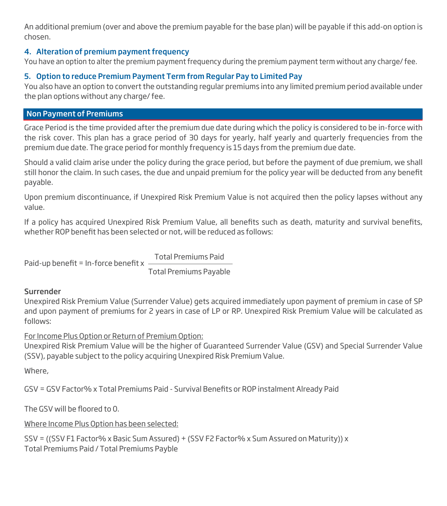An additional premium (over and above the premium payable for the base plan) will be payable if this add-on option is chosen.

#### 4. Alteration of premium payment frequency

You have an option to alter the premium payment frequency during the premium payment term without any charge/ fee.

#### 5. Option to reduce Premium Payment Term from Regular Pay to Limited Pay

You also have an option to convert the outstanding regular premiums into any limited premium period available under the plan options without any charge/ fee.

#### Non Payment of Premiums

Grace Period is the time provided after the premium due date during which the policy is considered to be in-force with the risk cover. This plan has a grace period of 30 days for yearly, half yearly and quarterly frequencies from the premium due date. The grace period for monthly frequency is 15 days from the premium due date.

Should a valid claim arise under the policy during the grace period, but before the payment of due premium, we shall still honor the claim. In such cases, the due and unpaid premium for the policy year will be deducted from any benefit payable.

Upon premium discontinuance, if Unexpired Risk Premium Value is not acquired then the policy lapses without any value.

If a policy has acquired Unexpired Risk Premium Value, all benefits such as death, maturity and survival benefits, whether ROP benefit has been selected or not, will be reduced as follows:

Paid-up benefit = In-force benefit  $x -$ 

Total Premiums Paid

Total Premiums Payable

#### Surrender

Unexpired Risk Premium Value (Surrender Value) gets acquired immediately upon payment of premium in case of SP and upon payment of premiums for 2 years in case of LP or RP. Unexpired Risk Premium Value will be calculated as follows:

For Income Plus Option or Return of Premium Option:

Unexpired Risk Premium Value will be the higher of Guaranteed Surrender Value (GSV) and Special Surrender Value (SSV), payable subject to the policy acquiring Unexpired Risk Premium Value.

Where,

GSV = GSV Factor% x Total Premiums Paid - Survival Benefits or ROP instalment Already Paid

The GSV will be floored to 0.

Where Income Plus Option has been selected:

SSV = ((SSV F1 Factor% x Basic Sum Assured) + (SSV F2 Factor% x Sum Assured on Maturity)) x Total Premiums Paid / Total Premiums Payble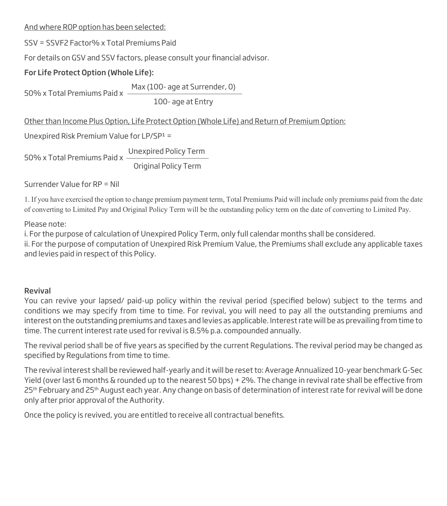#### And where ROP option has been selected:

SSV = SSVF2 Factor% x Total Premiums Paid

For details on GSV and SSV factors, please consult your financial advisor.

## For Life Protect Option (Whole Life):

50% x Total Premiums Paid x Max (100- age at Surrender, 0)

100- age at Entry

#### Other than Income Plus Option, Life Protect Option (Whole Life) and Return of Premium Option:

Unexpired Risk Premium Value for LP/SP1 =

50% x Total Premiums Paid x Unexpired Policy Term Original Policy Term

Surrender Value for RP = Nil

1. If you have exercised the option to change premium payment term, Total Premiums Paid will include only premiums paid from the date of converting to Limited Pay and Original Policy Term will be the outstanding policy term on the date of converting to Limited Pay.

#### Please note:

i. For the purpose of calculation of Unexpired Policy Term, only full calendar months shall be considered. ii. For the purpose of computation of Unexpired Risk Premium Value, the Premiums shall exclude any applicable taxes and levies paid in respect of this Policy.

#### Revival

You can revive your lapsed/ paid-up policy within the revival period (specified below) subject to the terms and conditions we may specify from time to time. For revival, you will need to pay all the outstanding premiums and interest on the outstanding premiums and taxes and levies as applicable. Interest rate will be as prevailing from time to time. The current interest rate used for revival is 8.5% p.a. compounded annually.

The revival period shall be of five years as specified by the current Regulations. The revival period may be changed as specified by Regulations from time to time.

The revival interest shall be reviewed half-yearly and it will be reset to: Average Annualized 10-year benchmark G-Sec Yield (over last 6 months & rounded up to the nearest 50 bps) + 2%. The change in revival rate shall be effective from 25<sup>th</sup> February and 25<sup>th</sup> August each year. Any change on basis of determination of interest rate for revival will be done only after prior approval of the Authority.

Once the policy is revived, you are entitled to receive all contractual benefits.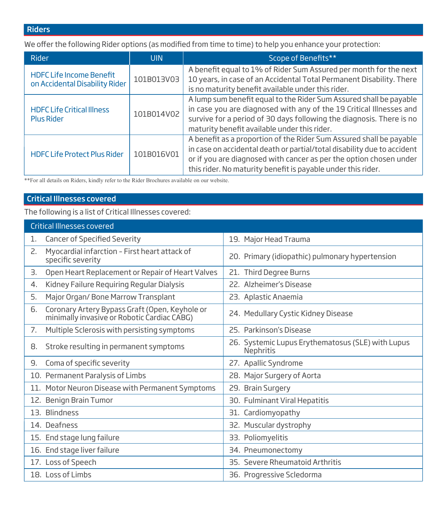## Riders

We offer the following Rider options (as modified from time to time) to help you enhance your protection:

| Rider                                                             | UIN        | Scope of Benefits**                                                                                                                                                                                                                                                                  |
|-------------------------------------------------------------------|------------|--------------------------------------------------------------------------------------------------------------------------------------------------------------------------------------------------------------------------------------------------------------------------------------|
| <b>HDFC Life Income Benefit</b><br>on Accidental Disability Rider | 101B013V03 | A benefit equal to 1% of Rider Sum Assured per month for the next<br>10 years, in case of an Accidental Total Permanent Disability. There<br>is no maturity benefit available under this rider.                                                                                      |
| <b>HDFC Life Critical Illness</b><br><b>Plus Rider</b>            | 101B014V02 | A lump sum benefit equal to the Rider Sum Assured shall be payable<br>in case you are diagnosed with any of the 19 Critical Illnesses and<br>survive for a period of 30 days following the diagnosis. There is no<br>maturity benefit available under this rider.                    |
| <b>HDFC Life Protect Plus Rider</b>                               | 101B016V01 | A benefit as a proportion of the Rider Sum Assured shall be payable<br>in case on accidental death or partial/total disability due to accident<br>or if you are diagnosed with cancer as per the option chosen under<br>this rider. No maturity benefit is payable under this rider. |

\*\*For all details on Riders, kindly refer to the Rider Brochures available on our website.

#### Critical Illnesses covered

The following is a list of Critical Illnesses covered:

| <b>Critical Illnesses covered</b>                                                                   |                                                                |
|-----------------------------------------------------------------------------------------------------|----------------------------------------------------------------|
| <b>Cancer of Specified Severity</b><br>1.                                                           | 19. Major Head Trauma                                          |
| Myocardial infarction - First heart attack of<br>2.<br>specific severity                            | 20. Primary (idiopathic) pulmonary hypertension                |
| Open Heart Replacement or Repair of Heart Valves<br>З.                                              | 21. Third Degree Burns                                         |
| Kidney Failure Requiring Regular Dialysis<br>4.                                                     | 22. Alzheimer's Disease                                        |
| 5.<br>Major Organ/Bone Marrow Transplant                                                            | 23. Aplastic Anaemia                                           |
| Coronary Artery Bypass Graft (Open, Keyhole or<br>6.<br>minimally invasive or Robotic Cardiac CABG) | 24. Medullary Cystic Kidney Disease                            |
| Multiple Sclerosis with persisting symptoms<br>7.                                                   | 25. Parkinson's Disease                                        |
| Stroke resulting in permanent symptoms<br>8.                                                        | 26. Systemic Lupus Erythematosus (SLE) with Lupus<br>Nephritis |
| Coma of specific severity<br>9.                                                                     | 27. Apallic Syndrome                                           |
| 10. Permanent Paralysis of Limbs                                                                    | 28. Major Surgery of Aorta                                     |
| 11. Motor Neuron Disease with Permanent Symptoms                                                    | 29. Brain Surgery                                              |
| 12. Benign Brain Tumor                                                                              | 30. Fulminant Viral Hepatitis                                  |
| 13. Blindness                                                                                       | 31. Cardiomyopathy                                             |
| 14. Deafness                                                                                        | 32. Muscular dystrophy                                         |
| 15. End stage lung failure                                                                          | 33. Poliomyelitis                                              |
| 16. End stage liver failure                                                                         | 34. Pneumonectomy                                              |
| 17. Loss of Speech                                                                                  | 35. Severe Rheumatoid Arthritis                                |
| 18. Loss of Limbs                                                                                   | 36. Progressive Scledorma                                      |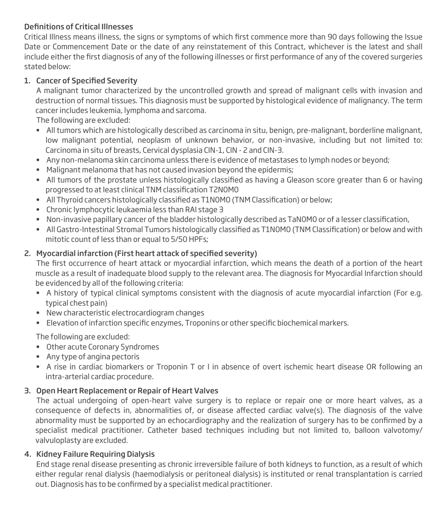## Definitions of Critical Illnesses

Critical Illness means illness, the signs or symptoms of which first commence more than 90 days following the Issue Date or Commencement Date or the date of any reinstatement of this Contract, whichever is the latest and shall include either the first diagnosis of any of the following illnesses or first performance of any of the covered surgeries stated below:

#### 1. Cancer of Specified Severity

 A malignant tumor characterized by the uncontrolled growth and spread of malignant cells with invasion and destruction of normal tissues. This diagnosis must be supported by histological evidence of malignancy. The term cancer includes leukemia, lymphoma and sarcoma.

The following are excluded:

- All tumors which are histologically described as carcinoma in situ, benign, pre-malignant, borderline malignant, low malignant potential, neoplasm of unknown behavior, or non-invasive, including but not limited to: Carcinoma in situ of breasts, Cervical dysplasia CIN-1, CIN - 2 and CIN-3.
- Any non-melanoma skin carcinoma unless there is evidence of metastases to lymph nodes or beyond;
- Malignant melanoma that has not caused invasion beyond the epidermis;
- All tumors of the prostate unless histologically classified as having a Gleason score greater than 6 or having progressed to at least clinical TNM classification T2N0M0
- All Thyroid cancers histologically classified as T1N0M0 (TNM Classification) or below;
- Chronic lymphocytic leukaemia less than RAI stage 3
- Non-invasive papillary cancer of the bladder histologically described as TaNOMO or of a lesser classification,
- All Gastro-Intestinal Stromal Tumors histologically classified as T1NOMO (TNM Classification) or below and with mitotic count of less than or equal to 5/50 HPFs;

#### 2. Myocardial infarction (First heart attack of specified severity)

The first occurrence of heart attack or myocardial infarction, which means the death of a portion of the heart muscle as a result of inadequate blood supply to the relevant area. The diagnosis for Myocardial Infarction should be evidenced by all of the following criteria:

- A history of typical clinical symptoms consistent with the diagnosis of acute myocardial infarction (For e.g. typical chest pain)
- New characteristic electrocardiogram changes
- Elevation of infarction specific enzymes, Troponins or other specific biochemical markers.

The following are excluded:

- Other acute Coronary Syndromes
- Any type of angina pectoris
- A rise in cardiac biomarkers or Troponin T or I in absence of overt ischemic heart disease OR following an intra-arterial cardiac procedure.

#### 3. Open Heart Replacement or Repair of Heart Valves

 The actual undergoing of open-heart valve surgery is to replace or repair one or more heart valves, as a consequence of defects in, abnormalities of, or disease affected cardiac valve(s). The diagnosis of the valve abnormality must be supported by an echocardiography and the realization of surgery has to be confirmed by a specialist medical practitioner. Catheter based techniques including but not limited to, balloon valvotomy/ valvuloplasty are excluded.

#### 4. Kidney Failure Requiring Dialysis

 End stage renal disease presenting as chronic irreversible failure of both kidneys to function, as a result of which either regular renal dialysis (haemodialysis or peritoneal dialysis) is instituted or renal transplantation is carried out. Diagnosis has to be confirmed by a specialist medical practitioner.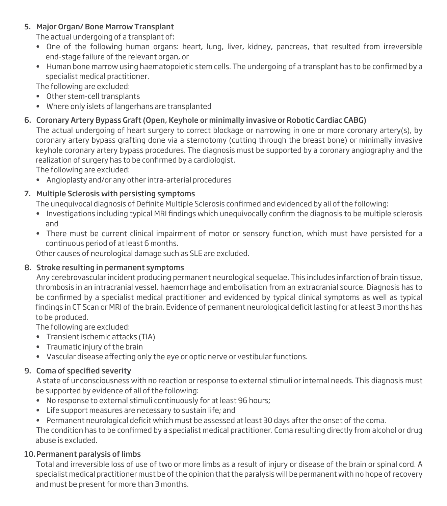#### 5. Major Organ/ Bone Marrow Transplant

The actual undergoing of a transplant of:

- One of the following human organs: heart, lung, liver, kidney, pancreas, that resulted from irreversible end-stage failure of the relevant organ, or
- Human bone marrow using haematopoietic stem cells. The undergoing of a transplant has to be confirmed by a specialist medical practitioner.

The following are excluded:

- Other stem-cell transplants
- Where only islets of langerhans are transplanted

## 6. Coronary Artery Bypass Graft (Open, Keyhole or minimally invasive or Robotic Cardiac CABG)

 The actual undergoing of heart surgery to correct blockage or narrowing in one or more coronary artery(s), by coronary artery bypass grafting done via a sternotomy (cutting through the breast bone) or minimally invasive keyhole coronary artery bypass procedures. The diagnosis must be supported by a coronary angiography and the realization of surgery has to be confirmed by a cardiologist.

The following are excluded:

• Angioplasty and/or any other intra-arterial procedures

## 7. Multiple Sclerosis with persisting symptoms

The unequivocal diagnosis of Definite Multiple Sclerosis confirmed and evidenced by all of the following:

- Investigations including typical MRI findings which unequivocally confirm the diagnosis to be multiple sclerosis and
- There must be current clinical impairment of motor or sensory function, which must have persisted for a continuous period of at least 6 months.

Other causes of neurological damage such as SLE are excluded.

#### 8. Stroke resulting in permanent symptoms

 Any cerebrovascular incident producing permanent neurological sequelae. This includes infarction of brain tissue, thrombosis in an intracranial vessel, haemorrhage and embolisation from an extracranial source. Diagnosis has to be confirmed by a specialist medical practitioner and evidenced by typical clinical symptoms as well as typical findings in CT Scan or MRI of the brain. Evidence of permanent neurological deficit lasting for at least 3 months has to be produced.

The following are excluded:

- Transient ischemic attacks (TIA)
- Traumatic injury of the brain
- Vascular disease affecting only the eye or optic nerve or vestibular functions.

#### 9. Coma of specified severity

 A state of unconsciousness with no reaction or response to external stimuli or internal needs. This diagnosis must be supported by evidence of all of the following:

- No response to external stimuli continuously for at least 96 hours;
- Life support measures are necessary to sustain life; and
- Permanent neurological deficit which must be assessed at least 30 days after the onset of the coma.

The condition has to be confirmed by a specialist medical practitioner. Coma resulting directly from alcohol or drug abuse is excluded.

#### 10. Permanent paralysis of limbs

 Total and irreversible loss of use of two or more limbs as a result of injury or disease of the brain or spinal cord. A specialist medical practitioner must be of the opinion that the paralysis will be permanent with no hope of recovery and must be present for more than 3 months.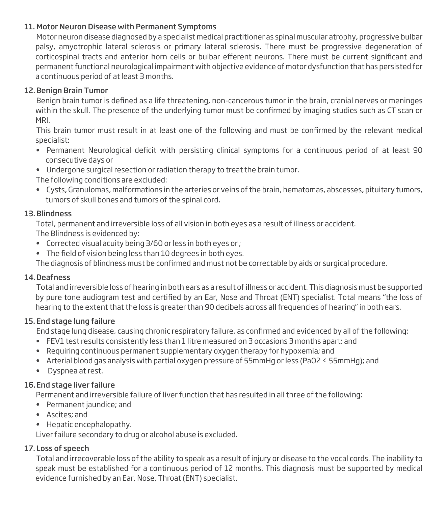#### 11. Motor Neuron Disease with Permanent Symptoms

 Motor neuron disease diagnosed by a specialist medical practitioner as spinal muscular atrophy, progressive bulbar palsy, amyotrophic lateral sclerosis or primary lateral sclerosis. There must be progressive degeneration of corticospinal tracts and anterior horn cells or bulbar efferent neurons. There must be current significant and permanent functional neurological impairment with objective evidence of motor dysfunction that has persisted for a continuous period of at least 3 months.

## 12. Benign Brain Tumor

Benign brain tumor is defined as a life threatening, non-cancerous tumor in the brain, cranial nerves or meninges within the skull. The presence of the underlying tumor must be confirmed by imaging studies such as CT scan or MRI.

This brain tumor must result in at least one of the following and must be confirmed by the relevant medical specialist:

- Permanent Neurological deficit with persisting clinical symptoms for a continuous period of at least 90 consecutive days or
- Undergone surgical resection or radiation therapy to treat the brain tumor.

The following conditions are excluded:

• Cysts, Granulomas, malformations in the arteries or veins of the brain, hematomas, abscesses, pituitary tumors, tumors of skull bones and tumors of the spinal cord.

#### 13. Blindness

Total, permanent and irreversible loss of all vision in both eyes as a result of illness or accident.

The Blindness is evidenced by:

- Corrected visual acuity being 3/60 or less in both eyes or ;
- The field of vision being less than 10 degrees in both eyes.

The diagnosis of blindness must be confirmed and must not be correctable by aids or surgical procedure.

#### 14. Deafness

 Total and irreversible loss of hearing in both ears as a result of illness or accident. This diagnosis must be supported by pure tone audiogram test and certified by an Ear, Nose and Throat (ENT) specialist. Total means "the loss of hearing to the extent that the loss is greater than 90 decibels across all frequencies of hearing" in both ears.

## 15. End stage lung failure

End stage lung disease, causing chronic respiratory failure, as confirmed and evidenced by all of the following:

- FEV1 test results consistently less than 1 litre measured on 3 occasions 3 months apart; and
- Requiring continuous permanent supplementary oxygen therapy for hypoxemia; and
- Arterial blood gas analysis with partial oxygen pressure of 55mmHg or less (PaO2 < 55mmHg); and
- Dyspnea at rest.

## 16. End stage liver failure

Permanent and irreversible failure of liver function that has resulted in all three of the following:

- Permanent jaundice; and
- Ascites; and
- Hepatic encephalopathy.

Liver failure secondary to drug or alcohol abuse is excluded.

## 17. Loss of speech

 Total and irrecoverable loss of the ability to speak as a result of injury or disease to the vocal cords. The inability to speak must be established for a continuous period of 12 months. This diagnosis must be supported by medical evidence furnished by an Ear, Nose, Throat (ENT) specialist.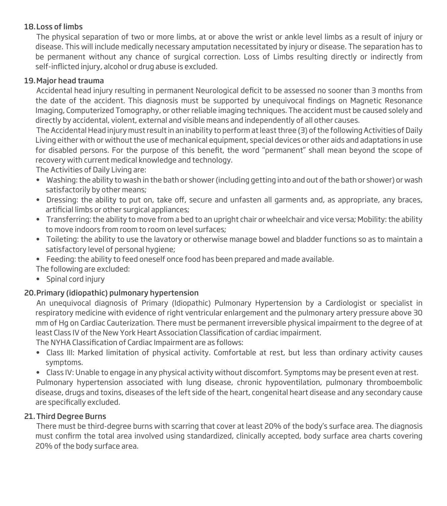#### 18. Loss of limbs

 The physical separation of two or more limbs, at or above the wrist or ankle level limbs as a result of injury or disease. This will include medically necessary amputation necessitated by injury or disease. The separation has to be permanent without any chance of surgical correction. Loss of Limbs resulting directly or indirectly from self-inflicted injury, alcohol or drug abuse is excluded.

#### 19. Major head trauma

Accidental head injury resulting in permanent Neurological deficit to be assessed no sooner than 3 months from the date of the accident. This diagnosis must be supported by unequivocal findings on Magnetic Resonance Imaging, Computerized Tomography, or other reliable imaging techniques. The accident must be caused solely and directly by accidental, violent, external and visible means and independently of all other causes.

 The Accidental Head injury must result in an inability to perform at least three (3) of the following Activities of Daily Living either with or without the use of mechanical equipment, special devices or other aids and adaptations in use for disabled persons. For the purpose of this benefit, the word "permanent" shall mean beyond the scope of recovery with current medical knowledge and technology.

The Activities of Daily Living are:

- Washing: the ability to wash in the bath or shower (including getting into and out of the bath or shower) or wash satisfactorily by other means;
- Dressing: the ability to put on, take off, secure and unfasten all garments and, as appropriate, any braces, artificial limbs or other surgical appliances;
- Transferring: the ability to move from a bed to an upright chair or wheelchair and vice versa; Mobility: the ability to move indoors from room to room on level surfaces;
- Toileting: the ability to use the lavatory or otherwise manage bowel and bladder functions so as to maintain a satisfactory level of personal hygiene;
- Feeding: the ability to feed oneself once food has been prepared and made available.

The following are excluded:

• Spinal cord injury

## 20. Primary (idiopathic) pulmonary hypertension

 An unequivocal diagnosis of Primary (Idiopathic) Pulmonary Hypertension by a Cardiologist or specialist in respiratory medicine with evidence of right ventricular enlargement and the pulmonary artery pressure above 30 mm of Hg on Cardiac Cauterization. There must be permanent irreversible physical impairment to the degree of at least Class IV of the New York Heart Association Classification of cardiac impairment.

The NYHA Classification of Cardiac Impairment are as follows:

• Class III: Marked limitation of physical activity. Comfortable at rest, but less than ordinary activity causes symptoms.

• Class IV: Unable to engage in any physical activity without discomfort. Symptoms may be present even at rest. Pulmonary hypertension associated with lung disease, chronic hypoventilation, pulmonary thromboembolic disease, drugs and toxins, diseases of the left side of the heart, congenital heart disease and any secondary cause are specifically excluded.

## 21. Third Degree Burns

 There must be third-degree burns with scarring that cover at least 20% of the body's surface area. The diagnosis must confirm the total area involved using standardized, clinically accepted, body surface area charts covering 20% of the body surface area.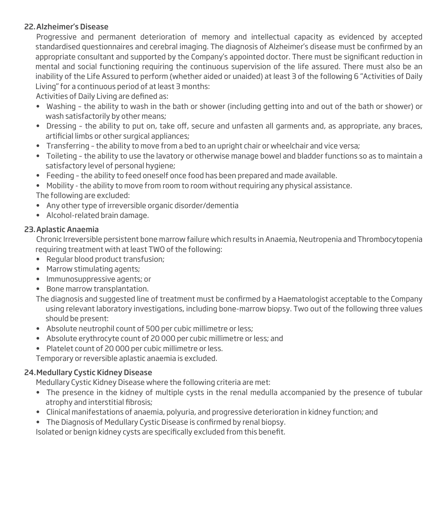#### 22. Alzheimer's Disease

 Progressive and permanent deterioration of memory and intellectual capacity as evidenced by accepted standardised questionnaires and cerebral imaging. The diagnosis of Alzheimer's disease must be confirmed by an appropriate consultant and supported by the Company's appointed doctor. There must be significant reduction in mental and social functioning requiring the continuous supervision of the life assured. There must also be an inability of the Life Assured to perform (whether aided or unaided) at least 3 of the following 6 "Activities of Daily Living" for a continuous period of at least 3 months:

Activities of Daily Living are defined as:

- Washing the ability to wash in the bath or shower (including getting into and out of the bath or shower) or wash satisfactorily by other means;
- Dressing the ability to put on, take off, secure and unfasten all garments and, as appropriate, any braces, artificial limbs or other surgical appliances;
- Transferring the ability to move from a bed to an upright chair or wheelchair and vice versa;
- Toileting the ability to use the lavatory or otherwise manage bowel and bladder functions so as to maintain a satisfactory level of personal hygiene;
- Feeding the ability to feed oneself once food has been prepared and made available.
- Mobility the ability to move from room to room without requiring any physical assistance. The following are excluded:
- Any other type of irreversible organic disorder/dementia
- Alcohol-related brain damage.

## 23. Aplastic Anaemia

 Chronic Irreversible persistent bone marrow failure which results in Anaemia, Neutropenia and Thrombocytopenia requiring treatment with at least TWO of the following:

- Regular blood product transfusion;
- Marrow stimulating agents;
- Immunosuppressive agents; or
- Bone marrow transplantation.

The diagnosis and suggested line of treatment must be confirmed by a Haematologist acceptable to the Company using relevant laboratory investigations, including bone-marrow biopsy. Two out of the following three values should be present:

- Absolute neutrophil count of 500 per cubic millimetre or less;
- Absolute erythrocyte count of 20 000 per cubic millimetre or less; and
- Platelet count of 20 000 per cubic millimetre or less.

Temporary or reversible aplastic anaemia is excluded.

## 24. Medullary Cystic Kidney Disease

Medullary Cystic Kidney Disease where the following criteria are met:

- The presence in the kidney of multiple cysts in the renal medulla accompanied by the presence of tubular atrophy and interstitial fibrosis;
- Clinical manifestations of anaemia, polyuria, and progressive deterioration in kidney function; and
- The Diagnosis of Medullary Cystic Disease is confirmed by renal biopsy.

Isolated or benign kidney cysts are specifically excluded from this benefit.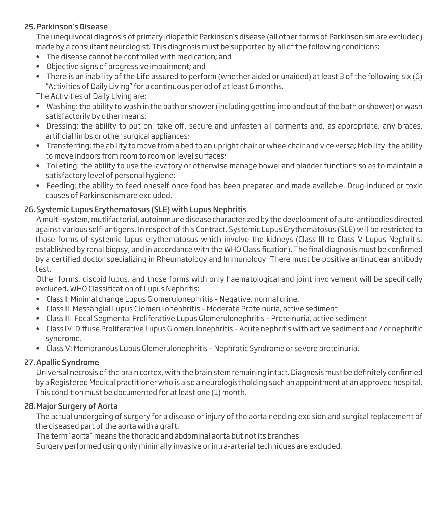#### 25. Parkinson's Disease

 The unequivocal diagnosis of primary idiopathic Parkinson's disease (all other forms of Parkinsonism are excluded) made by a consultant neurologist. This diagnosis must be supported by all of the following conditions:

- The disease cannot be controlled with medication; and
- Objective signs of progressive impairment; and
- There is an inability of the Life assured to perform (whether aided or unaided) at least 3 of the following six (6) "Activities of Daily Living" for a continuous period of at least 6 months.

The Activities of Daily Living are:

- Washing: the ability to wash in the bath or shower (including getting into and out of the bath or shower) or wash satisfactorily by other means;
- Dressing: the ability to put on, take off, secure and unfasten all garments and, as appropriate, any braces, artificial limbs or other surgical appliances;
- Transferring: the ability to move from a bed to an upright chair or wheelchair and vice versa; Mobility: the ability to move indoors from room to room on level surfaces;
- Toileting: the ability to use the lavatory or otherwise manage bowel and bladder functions so as to maintain a satisfactory level of personal hygiene;
- Feeding: the ability to feed oneself once food has been prepared and made available. Drug-induced or toxic causes of Parkinsonism are excluded.

## 26. Systemic Lupus Erythematosus (SLE) with Lupus Nephritis

 A multi-system, mutlifactorial, autoimmune disease characterized by the development of auto-antibodies directed against various self-antigens. In respect of this Contract, Systemic Lupus Erythematosus (SLE) will be restricted to those forms of systemic lupus erythematosus which involve the kidneys (Class III to Class V Lupus Nephritis, established by renal biopsy, and in accordance with the WHO Classification). The final diagnosis must be confirmed by a certified doctor specializing in Rheumatology and Immunology. There must be positive antinuclear antibody test.

Other forms, discoid lupus, and those forms with only haematological and joint involvement will be specifically excluded. WHO Classification of Lupus Nephritis:

- Class I: Minimal change Lupus Glomerulonephritis Negative, normal urine.
- Class II: Messangial Lupus Glomerulonephritis Moderate Proteinuria, active sediment
- Class III: Focal Segmental Proliferative Lupus Glomerulonephritis Proteinuria, active sediment
- Class IV: Diffuse Proliferative Lupus Glomerulonephritis Acute nephritis with active sediment and / or nephritic syndrome.
- Class V: Membranous Lupus Glomerulonephritis Nephrotic Syndrome or severe proteinuria.

## 27. Apallic Syndrome

Universal necrosis of the brain cortex, with the brain stem remaining intact. Diagnosis must be definitely confirmed by a Registered Medical practitioner who is also a neurologist holding such an appointment at an approved hospital. This condition must be documented for at least one (1) month.

## 28. Major Surgery of Aorta

 The actual undergoing of surgery for a disease or injury of the aorta needing excision and surgical replacement of the diseased part of the aorta with a graft.

The term "aorta" means the thoracic and abdominal aorta but not its branches

Surgery performed using only minimally invasive or intra-arterial techniques are excluded.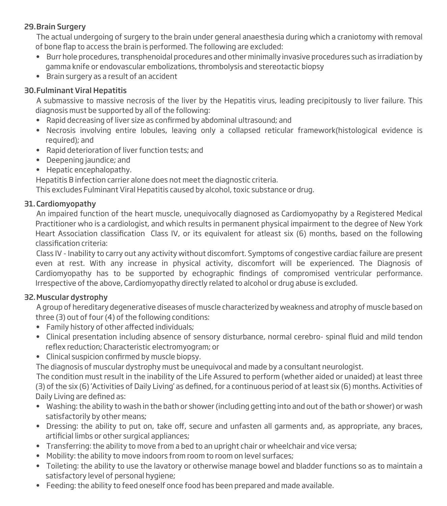## 29. Brain Surgery

 The actual undergoing of surgery to the brain under general anaesthesia during which a craniotomy with removal of bone flap to access the brain is performed. The following are excluded:

- Burr hole procedures, transphenoidal procedures and other minimally invasive procedures such as irradiation by gamma knife or endovascular embolizations, thrombolysis and stereotactic biopsy
- Brain surgery as a result of an accident

#### 30. Fulminant Viral Hepatitis

 A submassive to massive necrosis of the liver by the Hepatitis virus, leading precipitously to liver failure. This diagnosis must be supported by all of the following:

- Rapid decreasing of liver size as confirmed by abdominal ultrasound; and
- Necrosis involving entire lobules, leaving only a collapsed reticular framework(histological evidence is required); and
- Rapid deterioration of liver function tests; and
- Deepening jaundice; and
- Hepatic encephalopathy.

Hepatitis B infection carrier alone does not meet the diagnostic criteria.

This excludes Fulminant Viral Hepatitis caused by alcohol, toxic substance or drug.

#### 31. Cardiomyopathy

 An impaired function of the heart muscle, unequivocally diagnosed as Cardiomyopathy by a Registered Medical Practitioner who is a cardiologist, and which results in permanent physical impairment to the degree of New York Heart Association classification Class IV, or its equivalent for atleast six (6) months, based on the following classification criteria:

 Class IV - Inability to carry out any activity without discomfort. Symptoms of congestive cardiac failure are present even at rest. With any increase in physical activity, discomfort will be experienced. The Diagnosis of Cardiomyopathy has to be supported by echographic findings of compromised ventricular performance. Irrespective of the above, Cardiomyopathy directly related to alcohol or drug abuse is excluded.

## 32. Muscular dystrophy

 A group of hereditary degenerative diseases of muscle characterized by weakness and atrophy of muscle based on three (3) out of four (4) of the following conditions:

- Family history of other affected individuals;
- Clinical presentation including absence of sensory disturbance, normal cerebro- spinal fluid and mild tendon reflex reduction; Characteristic electromyogram; or
- Clinical suspicion confirmed by muscle biopsy.

The diagnosis of muscular dystrophy must be unequivocal and made by a consultant neurologist.

 The condition must result in the inability of the Life Assured to perform (whether aided or unaided) at least three  $(3)$  of the six  $(6)$  'Activities of Daily Living' as defined, for a continuous period of at least six  $(6)$  months. Activities of Daily Living are defined as:

- Washing: the ability to wash in the bath or shower (including getting into and out of the bath or shower) or wash satisfactorily by other means;
- Dressing: the ability to put on, take off, secure and unfasten all garments and, as appropriate, any braces, artificial limbs or other surgical appliances;
- Transferring: the ability to move from a bed to an upright chair or wheelchair and vice versa;
- Mobility: the ability to move indoors from room to room on level surfaces;
- Toileting: the ability to use the lavatory or otherwise manage bowel and bladder functions so as to maintain a satisfactory level of personal hygiene;
- Feeding: the ability to feed oneself once food has been prepared and made available.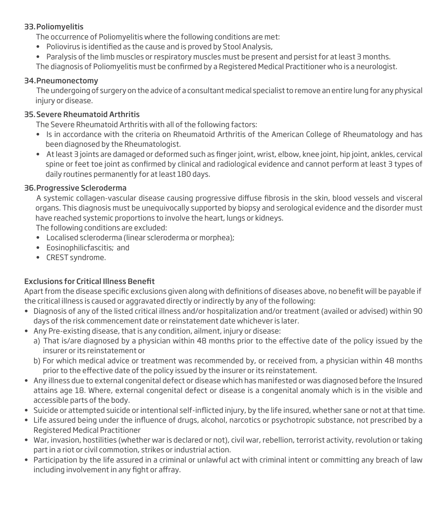#### 33. Poliomyelitis

The occurrence of Poliomyelitis where the following conditions are met:

- Poliovirus is identified as the cause and is proved by Stool Analysis,
- Paralysis of the limb muscles or respiratory muscles must be present and persist for at least 3 months.

The diagnosis of Poliomyelitis must be confirmed by a Registered Medical Practitioner who is a neurologist.

#### 34. Pneumonectomy

 The undergoing of surgery on the advice of a consultant medical specialist to remove an entire lung for any physical injury or disease.

#### 35. Severe Rheumatoid Arthritis

The Severe Rheumatoid Arthritis with all of the following factors:

- Is in accordance with the criteria on Rheumatoid Arthritis of the American College of Rheumatology and has been diagnosed by the Rheumatologist.
- At least 3 joints are damaged or deformed such as finger joint, wrist, elbow, knee joint, hip joint, ankles, cervical spine or feet toe joint as confirmed by clinical and radiological evidence and cannot perform at least 3 types of daily routines permanently for at least 180 days.

#### 36. Progressive Scleroderma

A systemic collagen-vascular disease causing progressive diffuse fibrosis in the skin, blood vessels and visceral organs. This diagnosis must be unequivocally supported by biopsy and serological evidence and the disorder must have reached systemic proportions to involve the heart, lungs or kidneys.

The following conditions are excluded:

- Localised scleroderma (linear scleroderma or morphea);
- Eosinophilicfascitis; and
- CREST syndrome.

## **Exclusions for Critical Illness Benefit**

Apart from the disease specific exclusions given along with definitions of diseases above, no benefit will be payable if the critical illness is caused or aggravated directly or indirectly by any of the following:

- Diagnosis of any of the listed critical illness and/or hospitalization and/or treatment (availed or advised) within 90 days of the risk commencement date or reinstatement date whichever is later.
- Any Pre-existing disease, that is any condition, ailment, injury or disease:
	- a) That is/are diagnosed by a physician within 48 months prior to the effective date of the policy issued by the insurer or its reinstatement or
	- b) For which medical advice or treatment was recommended by, or received from, a physician within 48 months prior to the effective date of the policy issued by the insurer or its reinstatement.
- Any illness due to external congenital defect or disease which has manifested or was diagnosed before the Insured attains age 18. Where, external congenital defect or disease is a congenital anomaly which is in the visible and accessible parts of the body.
- Suicide or attempted suicide or intentional self-inflicted injury, by the life insured, whether sane or not at that time.
- Life assured being under the influence of drugs, alcohol, narcotics or psychotropic substance, not prescribed by a Registered Medical Practitioner
- War, invasion, hostilities (whether war is declared or not), civil war, rebellion, terrorist activity, revolution or taking part in a riot or civil commotion, strikes or industrial action.
- Participation by the life assured in a criminal or unlawful act with criminal intent or committing any breach of law including involvement in any fight or affray.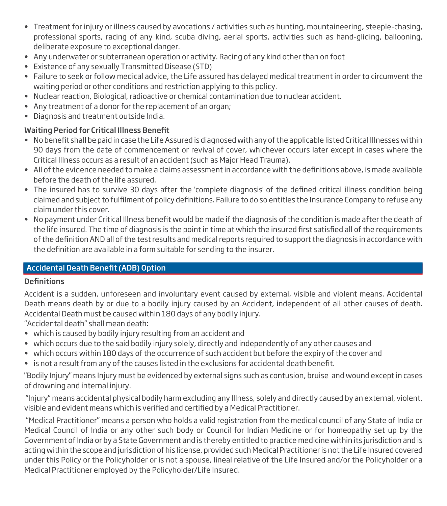- Treatment for injury or illness caused by avocations / activities such as hunting, mountaineering, steeple-chasing, professional sports, racing of any kind, scuba diving, aerial sports, activities such as hand-gliding, ballooning, deliberate exposure to exceptional danger.
- Any underwater or subterranean operation or activity. Racing of any kind other than on foot
- Existence of any sexually Transmitted Disease (STD)
- Failure to seek or follow medical advice, the Life assured has delayed medical treatment in order to circumvent the waiting period or other conditions and restriction applying to this policy.
- Nuclear reaction, Biological, radioactive or chemical contamination due to nuclear accident.
- Any treatment of a donor for the replacement of an organ;
- Diagnosis and treatment outside India.

#### Waiting Period for Critical Illness Benefit

- No benefit shall be paid in case the Life Assured is diagnosed with any of the applicable listed Critical Illnesses within 90 days from the date of commencement or revival of cover, whichever occurs later except in cases where the Critical Illness occurs as a result of an accident (such as Major Head Trauma).
- $\bullet$  All of the evidence needed to make a claims assessment in accordance with the definitions above, is made available before the death of the life assured.
- The insured has to survive 30 days after the 'complete diagnosis' of the defined critical illness condition being claimed and subject to fulfilment of policy definitions. Failure to do so entitles the Insurance Company to refuse any claim under this cover.
- No payment under Critical Illness benefit would be made if the diagnosis of the condition is made after the death of the life insured. The time of diagnosis is the point in time at which the insured first satisfied all of the requirements of the definition AND all of the test results and medical reports required to support the diagnosis in accordance with the definition are available in a form suitable for sending to the insurer.

## Accidental Death Benefit (ADB) Option

#### **Definitions**

Accident is a sudden, unforeseen and involuntary event caused by external, visible and violent means. Accidental Death means death by or due to a bodily injury caused by an Accident, independent of all other causes of death. Accidental Death must be caused within 180 days of any bodily injury.

"Accidental death" shall mean death:

- which is caused by bodily injury resulting from an accident and
- which occurs due to the said bodily injury solely, directly and independently of any other causes and
- which occurs within 180 days of the occurrence of such accident but before the expiry of the cover and
- is not a result from any of the causes listed in the exclusions for accidental death benefit.

"Bodily Injury" means Injury must be evidenced by external signs such as contusion, bruise and wound except in cases of drowning and internal injury.

 "Injury" means accidental physical bodily harm excluding any Illness, solely and directly caused by an external, violent, visible and evident means which is verified and certified by a Medical Practitioner.

 "Medical Practitioner" means a person who holds a valid registration from the medical council of any State of India or Medical Council of India or any other such body or Council for Indian Medicine or for homeopathy set up by the Government of India or by a State Government and is thereby entitled to practice medicine within its jurisdiction and is acting within the scope and jurisdiction of his license, provided such Medical Practitioner is not the Life Insured covered under this Policy or the Policyholder or is not a spouse, lineal relative of the Life Insured and/or the Policyholder or a Medical Practitioner employed by the Policyholder/Life Insured.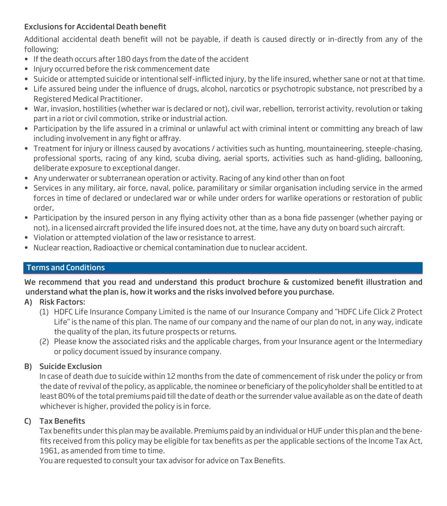## Exclusions for Accidental Death benefit

Additional accidental death benefit will not be payable, if death is caused directly or in-directly from any of the following:

- If the death occurs after 180 days from the date of the accident
- Injury occurred before the risk commencement date
- Suicide or attempted suicide or intentional self-inflicted injury, by the life insured, whether sane or not at that time.
- Life assured being under the influence of drugs, alcohol, narcotics or psychotropic substance, not prescribed by a Registered Medical Practitioner.
- War, invasion, hostilities (whether war is declared or not), civil war, rebellion, terrorist activity, revolution or taking part in a riot or civil commotion, strike or industrial action.
- Participation by the life assured in a criminal or unlawful act with criminal intent or committing any breach of law including involvement in any fight or affray.
- Treatment for injury or illness caused by avocations / activities such as hunting, mountaineering, steeple-chasing, professional sports, racing of any kind, scuba diving, aerial sports, activities such as hand-gliding, ballooning, deliberate exposure to exceptional danger.
- Any underwater or subterranean operation or activity. Racing of any kind other than on foot
- Services in any military, air force, naval, police, paramilitary or similar organisation including service in the armed forces in time of declared or undeclared war or while under orders for warlike operations or restoration of public order,
- Participation by the insured person in any flying activity other than as a bona fide passenger (whether paying or not), in a licensed aircraft provided the life insured does not, at the time, have any duty on board such aircraft.
- Violation or attempted violation of the law or resistance to arrest.
- Nuclear reaction, Radioactive or chemical contamination due to nuclear accident.

## Terms and Conditions

We recommend that you read and understand this product brochure & customized benefit illustration and understand what the plan is, how it works and the risks involved before you purchase.

- A) Risk Factors:
	- (1) HDFC Life Insurance Company Limited is the name of our Insurance Company and "HDFC Life Click 2 Protect Life" is the name of this plan. The name of our company and the name of our plan do not, in any way, indicate the quality of the plan, its future prospects or returns.
	- (2) Please know the associated risks and the applicable charges, from your Insurance agent or the Intermediary or policy document issued by insurance company.

## B) Suicide Exclusion

 In case of death due to suicide within 12 months from the date of commencement of risk under the policy or from the date of revival of the policy, as applicable, the nominee or beneficiary of the policyholder shall be entitled to at least 80% of the total premiums paid till the date of death or the surrender value available as on the date of death whichever is higher, provided the policy is in force.

## C) Tax Benefits

Tax benefits under this plan may be available. Premiums paid by an individual or HUF under this plan and the benefits received from this policy may be eligible for tax benefits as per the applicable sections of the Income Tax Act, 1961, as amended from time to time.

You are requested to consult your tax advisor for advice on Tax Benefits.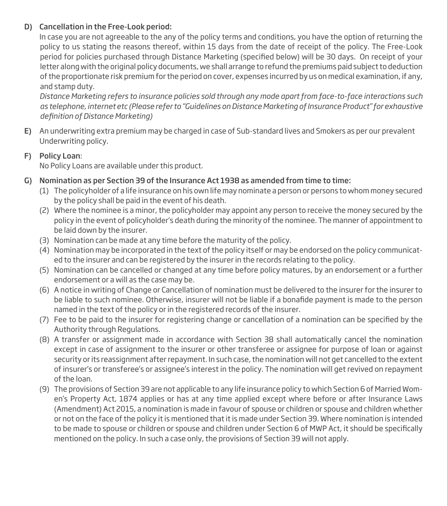## D) Cancellation in the Free-Look period:

 In case you are not agreeable to the any of the policy terms and conditions, you have the option of returning the policy to us stating the reasons thereof, within 15 days from the date of receipt of the policy. The Free-Look period for policies purchased through Distance Marketing (specified below) will be 30 days. On receipt of your letter along with the original policy documents, we shall arrange to refund the premiums paid subject to deduction of the proportionate risk premium for the period on cover, expenses incurred by us on medical examination, if any, and stamp duty.

*Distance Marketing refers to insurance policies sold through any mode apart from face-to-face interactions such*  as telephone, internet etc (Please refer to "Guidelines on Distance Marketing of Insurance Product" for exhaustive  $definition of Distance Marketing)$ 

E) An underwriting extra premium may be charged in case of Sub-standard lives and Smokers as per our prevalent Underwriting policy.

#### F) Policy Loan:

No Policy Loans are available under this product.

- G) Nomination as per Section 39 of the Insurance Act 1938 as amended from time to time:
	- (1) The policyholder of a life insurance on his own life may nominate a person or persons to whom money secured by the policy shall be paid in the event of his death.
	- (2) Where the nominee is a minor, the policyholder may appoint any person to receive the money secured by the policy in the event of policyholder's death during the minority of the nominee. The manner of appointment to be laid down by the insurer.
	- (3) Nomination can be made at any time before the maturity of the policy.
	- (4) Nomination may be incorporated in the text of the policy itself or may be endorsed on the policy communicated to the insurer and can be registered by the insurer in the records relating to the policy.
	- (5) Nomination can be cancelled or changed at any time before policy matures, by an endorsement or a further endorsement or a will as the case may be.
	- (6) A notice in writing of Change or Cancellation of nomination must be delivered to the insurer for the insurer to be liable to such nominee. Otherwise, insurer will not be liable if a bonafide payment is made to the person named in the text of the policy or in the registered records of the insurer.
	- (7) Fee to be paid to the insurer for registering change or cancellation of a nomination can be specified by the Authority through Regulations.
	- (8) A transfer or assignment made in accordance with Section 38 shall automatically cancel the nomination except in case of assignment to the insurer or other transferee or assignee for purpose of loan or against security or its reassignment after repayment. In such case, the nomination will not get cancelled to the extent of insurer's or transferee's or assignee's interest in the policy. The nomination will get revived on repayment of the loan.
	- (9) The provisions of Section 39 are not applicable to any life insurance policy to which Section 6 of Married Women's Property Act, 1874 applies or has at any time applied except where before or after Insurance Laws (Amendment) Act 2015, a nomination is made in favour of spouse or children or spouse and children whether or not on the face of the policy it is mentioned that it is made under Section 39. Where nomination is intended to be made to spouse or children or spouse and children under Section 6 of MWP Act, it should be specifically mentioned on the policy. In such a case only, the provisions of Section 39 will not apply.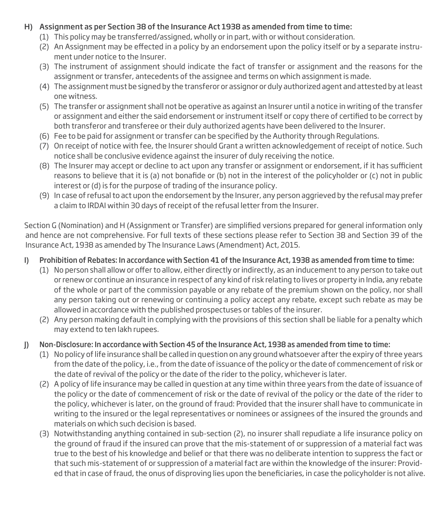#### H) Assignment as per Section 38 of the Insurance Act 1938 as amended from time to time:

- (1) This policy may be transferred/assigned, wholly or in part, with or without consideration.
- (2) An Assignment may be effected in a policy by an endorsement upon the policy itself or by a separate instrument under notice to the Insurer.
- (3) The instrument of assignment should indicate the fact of transfer or assignment and the reasons for the assignment or transfer, antecedents of the assignee and terms on which assignment is made.
- (4) The assignment must be signed by the transferor or assignor or duly authorized agent and attested by at least one witness.
- (5) The transfer or assignment shall not be operative as against an Insurer until a notice in writing of the transfer or assignment and either the said endorsement or instrument itself or copy there of certified to be correct by both transferor and transferee or their duly authorized agents have been delivered to the Insurer.
- (6) Fee to be paid for assignment or transfer can be specified by the Authority through Regulations.
- (7) On receipt of notice with fee, the Insurer should Grant a written acknowledgement of receipt of notice. Such notice shall be conclusive evidence against the insurer of duly receiving the notice.
- (8) The Insurer may accept or decline to act upon any transfer or assignment or endorsement, if it has sufficient reasons to believe that it is (a) not bonafide or (b) not in the interest of the policyholder or (c) not in public interest or (d) is for the purpose of trading of the insurance policy.
- (9) In case of refusal to act upon the endorsement by the Insurer, any person aggrieved by the refusal may prefer a claim to IRDAI within 30 days of receipt of the refusal letter from the Insurer.

Section G (Nomination) and H (Assignment or Transfer) are simplified versions prepared for general information only and hence are not comprehensive. For full texts of these sections please refer to Section 38 and Section 39 of the Insurance Act, 1938 as amended by The Insurance Laws (Amendment) Act, 2015.

## I) Prohibition of Rebates: In accordance with Section 41 of the Insurance Act, 1938 as amended from time to time:

- $(1)$  No person shall allow or offer to allow, either directly or indirectly, as an inducement to any person to take out or renew or continue an insurance in respect of any kind of risk relating to lives or property in India, any rebate of the whole or part of the commission payable or any rebate of the premium shown on the policy, nor shall any person taking out or renewing or continuing a policy accept any rebate, except such rebate as may be allowed in accordance with the published prospectuses or tables of the insurer.
- (2) Any person making default in complying with the provisions of this section shall be liable for a penalty which may extend to ten lakh rupees.

## J) Non-Disclosure: In accordance with Section 45 of the Insurance Act, 1938 as amended from time to time:

- (1) No policy of life insurance shall be called in question on any ground whatsoever after the expiry of three years from the date of the policy, i.e., from the date of issuance of the policy or the date of commencement of risk or the date of revival of the policy or the date of the rider to the policy, whichever is later.
- (2) A policy of life insurance may be called in question at any time within three years from the date of issuance of the policy or the date of commencement of risk or the date of revival of the policy or the date of the rider to the policy, whichever is later, on the ground of fraud: Provided that the insurer shall have to communicate in writing to the insured or the legal representatives or nominees or assignees of the insured the grounds and materials on which such decision is based.
- (3) Notwithstanding anything contained in sub-section (2), no insurer shall repudiate a life insurance policy on the ground of fraud if the insured can prove that the mis-statement of or suppression of a material fact was true to the best of his knowledge and belief or that there was no deliberate intention to suppress the fact or that such mis-statement of or suppression of a material fact are within the knowledge of the insurer: Provided that in case of fraud, the onus of disproving lies upon the beneficiaries, in case the policyholder is not alive.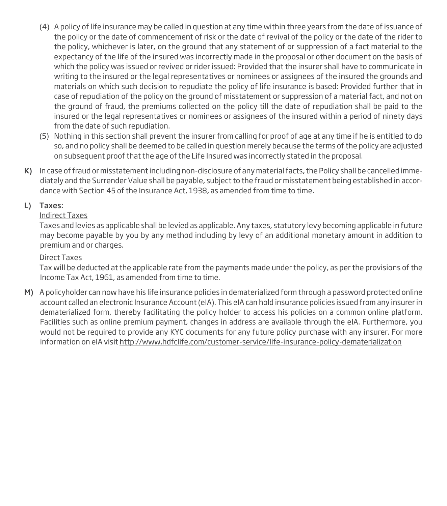- (4) A policy of life insurance may be called in question at any time within three years from the date of issuance of the policy or the date of commencement of risk or the date of revival of the policy or the date of the rider to the policy, whichever is later, on the ground that any statement of or suppression of a fact material to the expectancy of the life of the insured was incorrectly made in the proposal or other document on the basis of which the policy was issued or revived or rider issued: Provided that the insurer shall have to communicate in writing to the insured or the legal representatives or nominees or assignees of the insured the grounds and materials on which such decision to repudiate the policy of life insurance is based: Provided further that in case of repudiation of the policy on the ground of misstatement or suppression of a material fact, and not on the ground of fraud, the premiums collected on the policy till the date of repudiation shall be paid to the insured or the legal representatives or nominees or assignees of the insured within a period of ninety days from the date of such repudiation.
- (5) Nothing in this section shall prevent the insurer from calling for proof of age at any time if he is entitled to do so, and no policy shall be deemed to be called in question merely because the terms of the policy are adjusted on subsequent proof that the age of the Life Insured was incorrectly stated in the proposal.
- K) In case of fraud or misstatement including non-disclosure of any material facts, the Policy shall be cancelled immediately and the Surrender Value shall be payable, subject to the fraud or misstatement being established in accordance with Section 45 of the Insurance Act, 1938, as amended from time to time.

## L) Taxes:

#### Indirect Taxes

 Taxes and levies as applicable shall be levied as applicable. Any taxes, statutory levy becoming applicable in future may become payable by you by any method including by levy of an additional monetary amount in addition to premium and or charges.

#### Direct Taxes

 Tax will be deducted at the applicable rate from the payments made under the policy, as per the provisions of the Income Tax Act, 1961, as amended from time to time.

M) A policyholder can now have his life insurance policies in dematerialized form through a password protected online account called an electronic Insurance Account (eIA). This eIA can hold insurance policies issued from any insurer in dematerialized form, thereby facilitating the policy holder to access his policies on a common online platform. Facilities such as online premium payment, changes in address are available through the eIA. Furthermore, you would not be required to provide any KYC documents for any future policy purchase with any insurer. For more information on eIA visit http://www.hdfclife.com/customer-service/life-insurance-policy-dematerialization